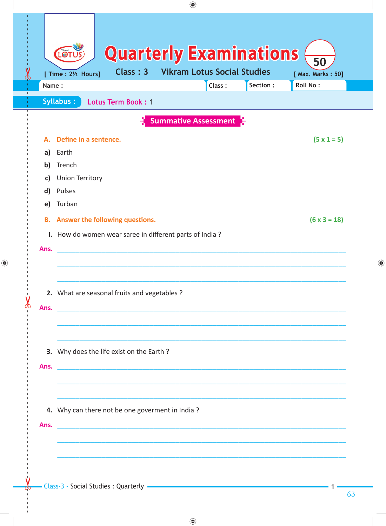|                              | ♠                                                                                                                                                |  |  |  |  |  |  |
|------------------------------|--------------------------------------------------------------------------------------------------------------------------------------------------|--|--|--|--|--|--|
|                              | <b>Quarterly Examinations</b><br><b>OTU</b><br>50<br><b>Vikram Lotus Social Studies</b><br>Class: 3<br>[ Time : 21/2 Hours]<br>[ Max. Marks: 50] |  |  |  |  |  |  |
| Name:                        | Section :<br>Roll No:<br>Class:                                                                                                                  |  |  |  |  |  |  |
|                              | Syllabus:<br>Lotus Term Book: 1                                                                                                                  |  |  |  |  |  |  |
|                              | <b>Summative Assessment</b>                                                                                                                      |  |  |  |  |  |  |
| А.                           | Define in a sentence.<br>$(5 \times 1 = 5)$                                                                                                      |  |  |  |  |  |  |
| a)                           | Earth                                                                                                                                            |  |  |  |  |  |  |
| $\mathbf{b}$                 | Trench                                                                                                                                           |  |  |  |  |  |  |
| c)                           | <b>Union Territory</b>                                                                                                                           |  |  |  |  |  |  |
| $\mathsf{d}$<br>$\mathsf{e}$ | Pulses<br>Turban                                                                                                                                 |  |  |  |  |  |  |
|                              |                                                                                                                                                  |  |  |  |  |  |  |
|                              | $(6 \times 3 = 18)$<br><b>B.</b> Answer the following questions.                                                                                 |  |  |  |  |  |  |
|                              | I. How do women wear saree in different parts of India?                                                                                          |  |  |  |  |  |  |
| Ans.                         |                                                                                                                                                  |  |  |  |  |  |  |
|                              |                                                                                                                                                  |  |  |  |  |  |  |
|                              |                                                                                                                                                  |  |  |  |  |  |  |
|                              | 2. What are seasonal fruits and vegetables ?                                                                                                     |  |  |  |  |  |  |
|                              | Ans. <b>Example 20</b> No. 2014 12:30 and 20 No. 2014 12:30 and 20 No. 2014 12:30 and 2014 12:30 and 2014 12:30 and 2014                         |  |  |  |  |  |  |
|                              |                                                                                                                                                  |  |  |  |  |  |  |
|                              |                                                                                                                                                  |  |  |  |  |  |  |
|                              | 3. Why does the life exist on the Earth?                                                                                                         |  |  |  |  |  |  |
|                              |                                                                                                                                                  |  |  |  |  |  |  |
|                              |                                                                                                                                                  |  |  |  |  |  |  |
|                              |                                                                                                                                                  |  |  |  |  |  |  |
|                              | 4. Why can there not be one goverment in India?                                                                                                  |  |  |  |  |  |  |
| Ans.                         | <u> 1989 - Johann Stoff, deutscher Stoffen und der Stoffen und der Stoffen und der Stoffen und der Stoffen und der</u>                           |  |  |  |  |  |  |
|                              |                                                                                                                                                  |  |  |  |  |  |  |
|                              |                                                                                                                                                  |  |  |  |  |  |  |
|                              |                                                                                                                                                  |  |  |  |  |  |  |

63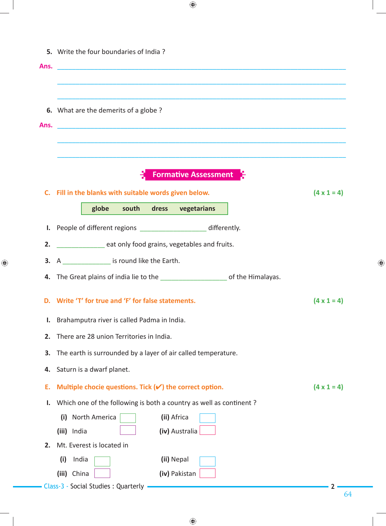| Ans.<br><u> 2000 - 2000 - 2000 - 2000 - 2000 - 2000 - 2000 - 2000 - 2000 - 2000 - 2000 - 2000 - 2000 - 2000 - 2000 - 200</u>  |                    |
|-------------------------------------------------------------------------------------------------------------------------------|--------------------|
|                                                                                                                               |                    |
|                                                                                                                               |                    |
| 6. What are the demerits of a globe?                                                                                          |                    |
| Ans.<br><u> 1989 - Johann John Stone, markin sanat masjid ayyında bir alan bir alan bir alan bir alan bir alan bir alan b</u> |                    |
|                                                                                                                               |                    |
|                                                                                                                               |                    |
| <b>Formative Assessment</b>                                                                                                   |                    |
| C. Fill in the blanks with suitable words given below.                                                                        | $(4 \times 1 = 4)$ |
| globe south dress vegetarians                                                                                                 |                    |
| I. People of different regions ______________________ differently.                                                            |                    |
| 2.                                                                                                                            |                    |
| eat only food grains, vegetables and fruits.                                                                                  |                    |
| 3. $A$ _________________ is round like the Earth.                                                                             |                    |
| 4. The Great plains of india lie to the ______________________ of the Himalayas.                                              |                    |
| D. Write 'T' for true and 'F' for false statements.                                                                           | $(4 \times 1 = 4)$ |
| Brahamputra river is called Padma in India.                                                                                   |                    |
| There are 28 union Territories in India.                                                                                      |                    |
| The earth is surrounded by a layer of air called temperature.                                                                 |                    |
| Saturn is a dwarf planet.                                                                                                     |                    |
|                                                                                                                               | $(4 \times 1 = 4)$ |
|                                                                                                                               |                    |
| Multiple chocie questions. Tick $(\checkmark)$ the correct option.                                                            |                    |
| Which one of the following is both a country as well as continent?<br>North America<br>(ii) Africa<br>(i)                     |                    |
| (iv) Australia<br>(iii) India                                                                                                 |                    |
| Mt. Everest is located in                                                                                                     |                    |
| (ii) Nepal<br>(i)<br>India                                                                                                    |                    |

 $\bigoplus$ 

 $\bigoplus$ 

 $\bigoplus$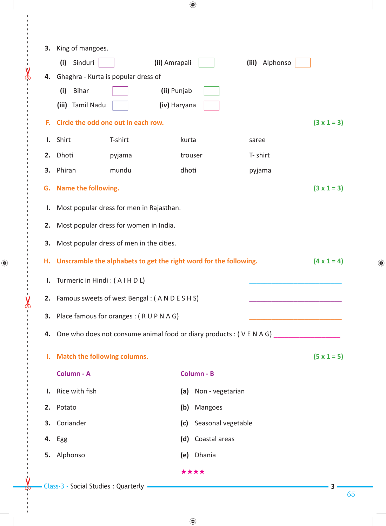| 3. | King of mangoes.                                                                        |                        |         |                      |          |          |  |  |  |  |  |
|----|-----------------------------------------------------------------------------------------|------------------------|---------|----------------------|----------|----------|--|--|--|--|--|
|    | Sinduri<br>(i)                                                                          | (ii) Amrapali          |         |                      | (iii)    | Alphonso |  |  |  |  |  |
| 4. | Ghaghra - Kurta is popular dress of<br>(ii) Punjab<br><b>Bihar</b>                      |                        |         |                      |          |          |  |  |  |  |  |
|    | (i)                                                                                     |                        |         |                      |          |          |  |  |  |  |  |
|    | (iii) Tamil Nadu<br>(iv) Haryana<br>$(3 \times 1 = 3)$                                  |                        |         |                      |          |          |  |  |  |  |  |
| F. | Circle the odd one out in each row.                                                     |                        |         |                      |          |          |  |  |  |  |  |
| ı. | Shirt                                                                                   | T-shirt                | kurta   |                      | saree    |          |  |  |  |  |  |
| 2. | Dhoti                                                                                   | pyjama                 | trouser |                      | T- shirt |          |  |  |  |  |  |
| 3. | Phiran                                                                                  | mundu                  | dhoti   |                      | pyjama   |          |  |  |  |  |  |
| G. | $(3 \times 1 = 3)$<br>Name the following.                                               |                        |         |                      |          |          |  |  |  |  |  |
| Ι. | Most popular dress for men in Rajasthan.                                                |                        |         |                      |          |          |  |  |  |  |  |
| 2. | Most popular dress for women in India.                                                  |                        |         |                      |          |          |  |  |  |  |  |
| 3. | Most popular dress of men in the cities.                                                |                        |         |                      |          |          |  |  |  |  |  |
| Н. | Unscramble the alphabets to get the right word for the following.<br>$(4 \times 1 = 4)$ |                        |         |                      |          |          |  |  |  |  |  |
|    |                                                                                         |                        |         |                      |          |          |  |  |  |  |  |
| Ι. | Turmeric in Hindi: (AIHDL)                                                              |                        |         |                      |          |          |  |  |  |  |  |
|    | 2. Famous sweets of west Bengal: (ANDESHS)                                              |                        |         |                      |          |          |  |  |  |  |  |
|    | 3. Place famous for oranges: (RUPNAG)                                                   |                        |         |                      |          |          |  |  |  |  |  |
| 4. | One who does not consume animal food or diary products : (VENAG) _______________        |                        |         |                      |          |          |  |  |  |  |  |
| Ι. | Match the following columns.<br>$(5 \times 1 = 5)$                                      |                        |         |                      |          |          |  |  |  |  |  |
|    | Column - B                                                                              |                        |         |                      |          |          |  |  |  |  |  |
|    | Column - A                                                                              |                        |         |                      |          |          |  |  |  |  |  |
| Ι. | Rice with fish                                                                          |                        |         | (a) Non - vegetarian |          |          |  |  |  |  |  |
| 2. | Potato                                                                                  |                        | (b)     | Mangoes              |          |          |  |  |  |  |  |
| 3. | Coriander                                                                               | (c) Seasonal vegetable |         |                      |          |          |  |  |  |  |  |
| 4. | Egg                                                                                     |                        |         | (d) Coastal areas    |          |          |  |  |  |  |  |
| 5. | Alphonso                                                                                |                        |         | (e) Dhania           |          |          |  |  |  |  |  |
|    | ****                                                                                    |                        |         |                      |          |          |  |  |  |  |  |

 $\bigoplus$ 

Class-3 - Social Studies : Quarterly **3** 

 $\leftarrow$ 

 $\frac{8}{1}$ 

 $\bigoplus$ 

 $\frac{1}{\sqrt{2}}$ 

65

 $\bigoplus$